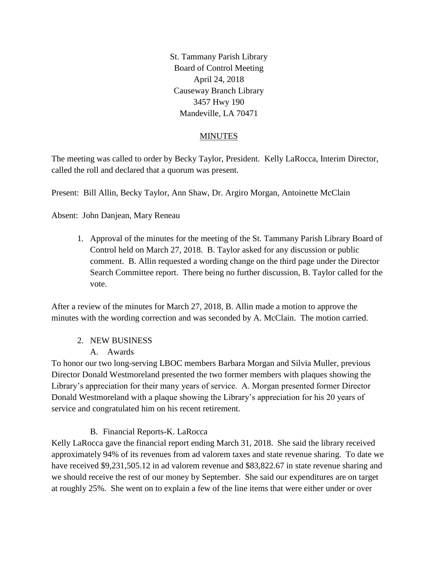St. Tammany Parish Library Board of Control Meeting April 24, 2018 Causeway Branch Library 3457 Hwy 190 Mandeville, LA 70471

### MINUTES

The meeting was called to order by Becky Taylor, President. Kelly LaRocca, Interim Director, called the roll and declared that a quorum was present.

Present: Bill Allin, Becky Taylor, Ann Shaw, Dr. Argiro Morgan, Antoinette McClain

Absent: John Danjean, Mary Reneau

1. Approval of the minutes for the meeting of the St. Tammany Parish Library Board of Control held on March 27, 2018. B. Taylor asked for any discussion or public comment. B. Allin requested a wording change on the third page under the Director Search Committee report. There being no further discussion, B. Taylor called for the vote.

After a review of the minutes for March 27, 2018, B. Allin made a motion to approve the minutes with the wording correction and was seconded by A. McClain. The motion carried.

### 2. NEW BUSINESS

A. Awards

To honor our two long-serving LBOC members Barbara Morgan and Silvia Muller, previous Director Donald Westmoreland presented the two former members with plaques showing the Library's appreciation for their many years of service. A. Morgan presented former Director Donald Westmoreland with a plaque showing the Library's appreciation for his 20 years of service and congratulated him on his recent retirement.

# B. Financial Reports-K. LaRocca

Kelly LaRocca gave the financial report ending March 31, 2018. She said the library received approximately 94% of its revenues from ad valorem taxes and state revenue sharing. To date we have received \$9,231,505.12 in ad valorem revenue and \$83,822.67 in state revenue sharing and we should receive the rest of our money by September. She said our expenditures are on target at roughly 25%. She went on to explain a few of the line items that were either under or over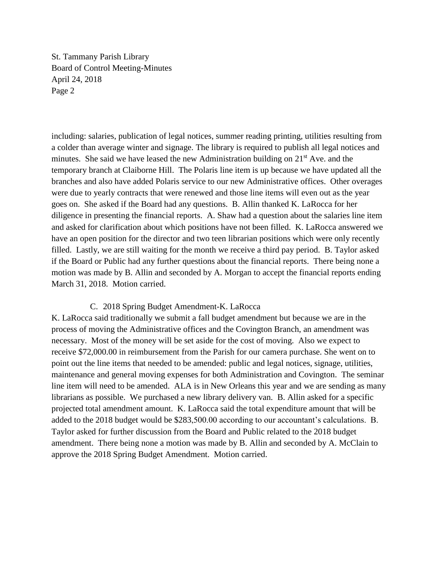St. Tammany Parish Library Board of Control Meeting-Minutes April 24, 2018 Page 2

including: salaries, publication of legal notices, summer reading printing, utilities resulting from a colder than average winter and signage. The library is required to publish all legal notices and minutes. She said we have leased the new Administration building on  $21<sup>st</sup>$  Ave. and the temporary branch at Claiborne Hill. The Polaris line item is up because we have updated all the branches and also have added Polaris service to our new Administrative offices. Other overages were due to yearly contracts that were renewed and those line items will even out as the year goes on. She asked if the Board had any questions. B. Allin thanked K. LaRocca for her diligence in presenting the financial reports. A. Shaw had a question about the salaries line item and asked for clarification about which positions have not been filled. K. LaRocca answered we have an open position for the director and two teen librarian positions which were only recently filled. Lastly, we are still waiting for the month we receive a third pay period. B. Taylor asked if the Board or Public had any further questions about the financial reports. There being none a motion was made by B. Allin and seconded by A. Morgan to accept the financial reports ending March 31, 2018. Motion carried.

### C. 2018 Spring Budget Amendment-K. LaRocca

K. LaRocca said traditionally we submit a fall budget amendment but because we are in the process of moving the Administrative offices and the Covington Branch, an amendment was necessary. Most of the money will be set aside for the cost of moving. Also we expect to receive \$72,000.00 in reimbursement from the Parish for our camera purchase. She went on to point out the line items that needed to be amended: public and legal notices, signage, utilities, maintenance and general moving expenses for both Administration and Covington. The seminar line item will need to be amended. ALA is in New Orleans this year and we are sending as many librarians as possible. We purchased a new library delivery van. B. Allin asked for a specific projected total amendment amount. K. LaRocca said the total expenditure amount that will be added to the 2018 budget would be \$283,500.00 according to our accountant's calculations. B. Taylor asked for further discussion from the Board and Public related to the 2018 budget amendment. There being none a motion was made by B. Allin and seconded by A. McClain to approve the 2018 Spring Budget Amendment. Motion carried.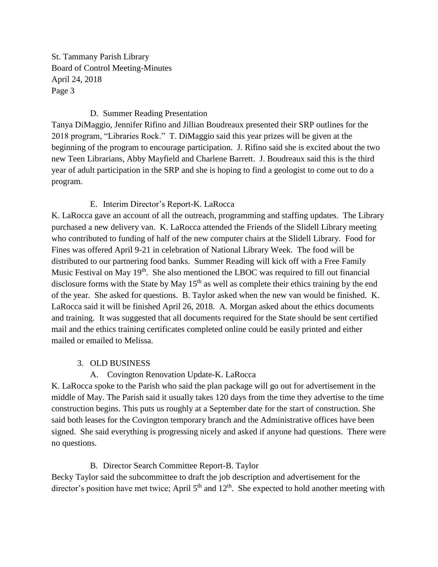St. Tammany Parish Library Board of Control Meeting-Minutes April 24, 2018 Page 3

### D. Summer Reading Presentation

Tanya DiMaggio, Jennifer Rifino and Jillian Boudreaux presented their SRP outlines for the 2018 program, "Libraries Rock." T. DiMaggio said this year prizes will be given at the beginning of the program to encourage participation. J. Rifino said she is excited about the two new Teen Librarians, Abby Mayfield and Charlene Barrett. J. Boudreaux said this is the third year of adult participation in the SRP and she is hoping to find a geologist to come out to do a program.

# E. Interim Director's Report-K. LaRocca

K. LaRocca gave an account of all the outreach, programming and staffing updates. The Library purchased a new delivery van. K. LaRocca attended the Friends of the Slidell Library meeting who contributed to funding of half of the new computer chairs at the Slidell Library. Food for Fines was offered April 9-21 in celebration of National Library Week. The food will be distributed to our partnering food banks. Summer Reading will kick off with a Free Family Music Festival on May 19<sup>th</sup>. She also mentioned the LBOC was required to fill out financial disclosure forms with the State by May  $15<sup>th</sup>$  as well as complete their ethics training by the end of the year. She asked for questions. B. Taylor asked when the new van would be finished. K. LaRocca said it will be finished April 26, 2018. A. Morgan asked about the ethics documents and training. It was suggested that all documents required for the State should be sent certified mail and the ethics training certificates completed online could be easily printed and either mailed or emailed to Melissa.

### 3. OLD BUSINESS

# A. Covington Renovation Update-K. LaRocca

K. LaRocca spoke to the Parish who said the plan package will go out for advertisement in the middle of May. The Parish said it usually takes 120 days from the time they advertise to the time construction begins. This puts us roughly at a September date for the start of construction. She said both leases for the Covington temporary branch and the Administrative offices have been signed. She said everything is progressing nicely and asked if anyone had questions. There were no questions.

# B. Director Search Committee Report-B. Taylor

Becky Taylor said the subcommittee to draft the job description and advertisement for the director's position have met twice; April  $5<sup>th</sup>$  and  $12<sup>th</sup>$ . She expected to hold another meeting with